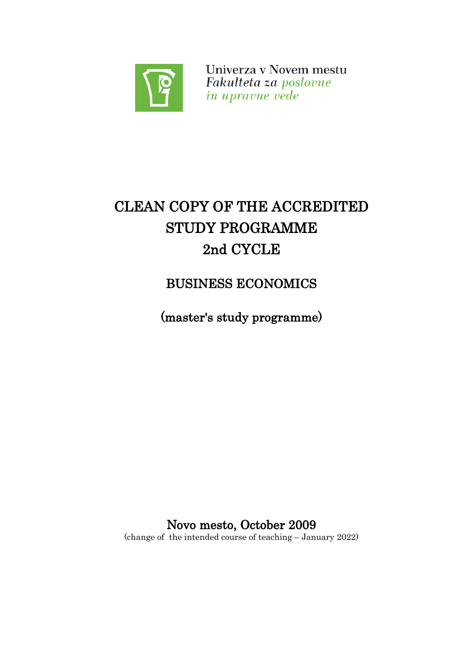

Univerza v Novem mestu Fakulteta za poslovne in upravne vede

# CLEAN COPY OF THE ACCREDITED STUDY PROGRAMME 2nd CYCLE

BUSINESS ECONOMICS

(master's study programme)

Novo mesto, October 2009 (change of the intended course of teaching – January 2022)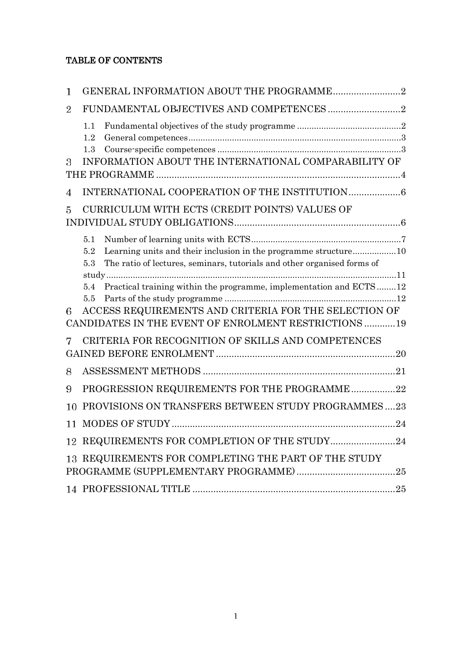# TABLE OF CONTENTS

<span id="page-1-0"></span>

| 1              |                                                                                                                                                                                                                                                                                                                                                                                                                                                                                                                                                                                                  |  |
|----------------|--------------------------------------------------------------------------------------------------------------------------------------------------------------------------------------------------------------------------------------------------------------------------------------------------------------------------------------------------------------------------------------------------------------------------------------------------------------------------------------------------------------------------------------------------------------------------------------------------|--|
| $\overline{2}$ |                                                                                                                                                                                                                                                                                                                                                                                                                                                                                                                                                                                                  |  |
|                | 1.1<br>$\label{eq:General} \textbf{General}\textbf{ competences}.\textcolor{red}{\textbf{general}}\textbf{complexness}.\textcolor{red}{\textbf{Output}} \textbf{if} \textbf{if} \textbf{if} \textbf{if} \textbf{if} \textbf{if} \textbf{if} \textbf{if} \textbf{if} \textbf{if} \textbf{if} \textbf{if} \textbf{if} \textbf{if} \textbf{if} \textbf{if} \textbf{if} \textbf{if} \textbf{if} \textbf{if} \textbf{if} \textbf{if} \textbf{if} \textbf{if} \textbf{if} \textbf{if} \textbf{if} \textbf{if} \text$<br>1.2<br>$\label{eq:1} {\rm Course\text{-}specific\,\,competences}\,\,\\$<br>1.3 |  |
| 3              | INFORMATION ABOUT THE INTERNATIONAL COMPARABILITY OF                                                                                                                                                                                                                                                                                                                                                                                                                                                                                                                                             |  |
| 4              |                                                                                                                                                                                                                                                                                                                                                                                                                                                                                                                                                                                                  |  |
| 5              | CURRICULUM WITH ECTS (CREDIT POINTS) VALUES OF                                                                                                                                                                                                                                                                                                                                                                                                                                                                                                                                                   |  |
|                | 5.1<br>Learning units and their inclusion in the programme structure10<br>5.2<br>The ratio of lectures, seminars, tutorials and other organised forms of<br>5.3                                                                                                                                                                                                                                                                                                                                                                                                                                  |  |
| 6              | Practical training within the programme, implementation and ECTS12<br>5.4<br>5.5<br>ACCESS REQUIREMENTS AND CRITERIA FOR THE SELECTION OF                                                                                                                                                                                                                                                                                                                                                                                                                                                        |  |
|                | CANDIDATES IN THE EVENT OF ENROLMENT RESTRICTIONS 19<br>CRITERIA FOR RECOGNITION OF SKILLS AND COMPETENCES                                                                                                                                                                                                                                                                                                                                                                                                                                                                                       |  |
| 8              |                                                                                                                                                                                                                                                                                                                                                                                                                                                                                                                                                                                                  |  |
| 9              | PROGRESSION REQUIREMENTS FOR THE PROGRAMME22                                                                                                                                                                                                                                                                                                                                                                                                                                                                                                                                                     |  |
| 10             | PROVISIONS ON TRANSFERS BETWEEN STUDY PROGRAMMES23                                                                                                                                                                                                                                                                                                                                                                                                                                                                                                                                               |  |
| 11             |                                                                                                                                                                                                                                                                                                                                                                                                                                                                                                                                                                                                  |  |
|                | 12 REQUIREMENTS FOR COMPLETION OF THE STUDY24                                                                                                                                                                                                                                                                                                                                                                                                                                                                                                                                                    |  |
|                | 13 REQUIREMENTS FOR COMPLETING THE PART OF THE STUDY                                                                                                                                                                                                                                                                                                                                                                                                                                                                                                                                             |  |
|                |                                                                                                                                                                                                                                                                                                                                                                                                                                                                                                                                                                                                  |  |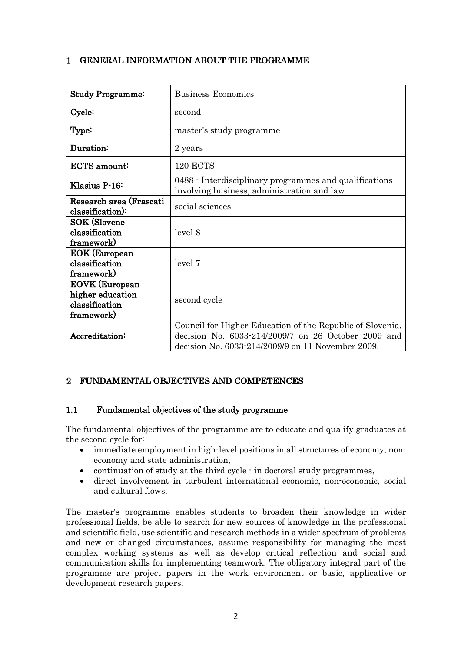# GENERAL INFORMATION ABOUT THE PROGRAMME

| <b>Study Programme:</b>                                                   | <b>Business Economics</b>                                                                                                                                             |
|---------------------------------------------------------------------------|-----------------------------------------------------------------------------------------------------------------------------------------------------------------------|
| Cycle:                                                                    | second                                                                                                                                                                |
| Type:                                                                     | master's study programme                                                                                                                                              |
| Duration:                                                                 | 2 years                                                                                                                                                               |
| ECTS amount:                                                              | <b>120 ECTS</b>                                                                                                                                                       |
| Klasius P-16:                                                             | 0488 - Interdisciplinary programmes and qualifications<br>involving business, administration and law                                                                  |
| Research area (Frascati<br>classification):                               | social sciences                                                                                                                                                       |
| <b>SOK (Slovene</b><br>classification<br>framework)                       | level 8                                                                                                                                                               |
| <b>EOK</b> (European<br>classification<br>framework)                      | level 7                                                                                                                                                               |
| <b>EOVK</b> (European<br>higher education<br>classification<br>framework) | second cycle                                                                                                                                                          |
| Accreditation:                                                            | Council for Higher Education of the Republic of Slovenia,<br>decision No. 6033-214/2009/7 on 26 October 2009 and<br>decision No. 6033-214/2009/9 on 11 November 2009. |

# <span id="page-2-0"></span>FUNDAMENTAL OBJECTIVES AND COMPETENCES

### <span id="page-2-1"></span>1.1 Fundamental objectives of the study programme

The fundamental objectives of the programme are to educate and qualify graduates at the second cycle for:

- immediate employment in high-level positions in all structures of economy, noneconomy and state administration,
- continuation of study at the third cycle  $\cdot$  in doctoral study programmes,
- direct involvement in turbulent international economic, non-economic, social and cultural flows.

The master's programme enables students to broaden their knowledge in wider professional fields, be able to search for new sources of knowledge in the professional and scientific field, use scientific and research methods in a wider spectrum of problems and new or changed circumstances, assume responsibility for managing the most complex working systems as well as develop critical reflection and social and communication skills for implementing teamwork. The obligatory integral part of the programme are project papers in the work environment or basic, applicative or development research papers.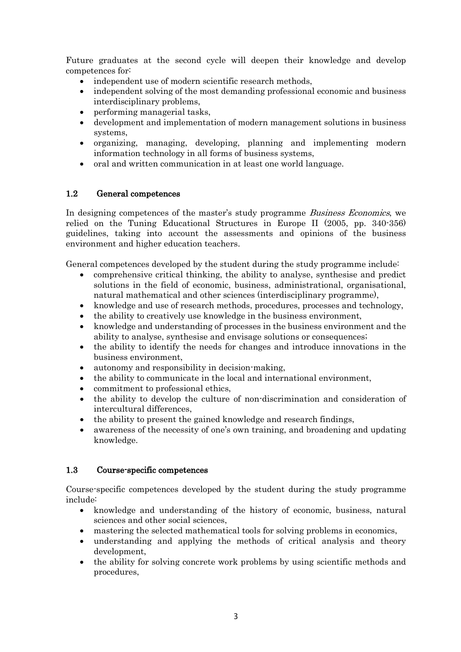Future graduates at the second cycle will deepen their knowledge and develop competences for:

- independent use of modern scientific research methods,
- independent solving of the most demanding professional economic and business interdisciplinary problems,
- performing managerial tasks,
- development and implementation of modern management solutions in business systems,
- organizing, managing, developing, planning and implementing modern information technology in all forms of business systems,
- oral and written communication in at least one world language.

#### <span id="page-3-0"></span>1.2 General competences

In designing competences of the master's study programme *Business Economics*, we relied on the Tuning Educational Structures in Europe II (2005, pp. 340-356) guidelines, taking into account the assessments and opinions of the business environment and higher education teachers.

General competences developed by the student during the study programme include:

- comprehensive critical thinking, the ability to analyse, synthesise and predict solutions in the field of economic, business, administrational, organisational, natural mathematical and other sciences (interdisciplinary programme),
- knowledge and use of research methods, procedures, processes and technology,
- the ability to creatively use knowledge in the business environment,
- knowledge and understanding of processes in the business environment and the ability to analyse, synthesise and envisage solutions or consequences;
- the ability to identify the needs for changes and introduce innovations in the business environment,
- autonomy and responsibility in decision-making,
- the ability to communicate in the local and international environment,
- commitment to professional ethics,
- the ability to develop the culture of non-discrimination and consideration of intercultural differences,
- the ability to present the gained knowledge and research findings,
- awareness of the necessity of one's own training, and broadening and updating knowledge.

#### <span id="page-3-1"></span>1.3 Course-specific competences

Course-specific competences developed by the student during the study programme include:

- knowledge and understanding of the history of economic, business, natural sciences and other social sciences,
- mastering the selected mathematical tools for solving problems in economics,
- understanding and applying the methods of critical analysis and theory development,
- the ability for solving concrete work problems by using scientific methods and procedures,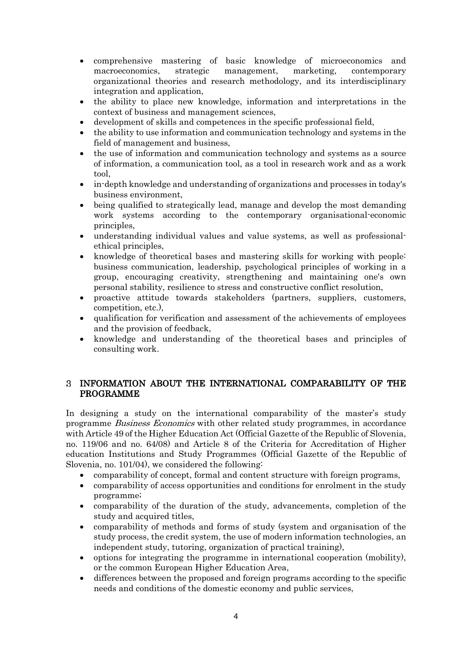- comprehensive mastering of basic knowledge of microeconomics and macroeconomics, strategic management, marketing, contemporary organizational theories and research methodology, and its interdisciplinary integration and application,
- the ability to place new knowledge, information and interpretations in the context of business and management sciences,
- development of skills and competences in the specific professional field,
- the ability to use information and communication technology and systems in the field of management and business,
- the use of information and communication technology and systems as a source of information, a communication tool, as a tool in research work and as a work tool,
- in-depth knowledge and understanding of organizations and processes in today's business environment,
- being qualified to strategically lead, manage and develop the most demanding work systems according to the contemporary organisational-economic principles,
- understanding individual values and value systems, as well as professionalethical principles,
- knowledge of theoretical bases and mastering skills for working with people: business communication, leadership, psychological principles of working in a group, encouraging creativity, strengthening and maintaining one's own personal stability, resilience to stress and constructive conflict resolution,
- proactive attitude towards stakeholders (partners, suppliers, customers, competition, etc.),
- qualification for verification and assessment of the achievements of employees and the provision of feedback,
- knowledge and understanding of the theoretical bases and principles of consulting work.

### <span id="page-4-0"></span>INFORMATION ABOUT THE INTERNATIONAL COMPARABILITY OF THE PROGRAMME

In designing a study on the international comparability of the master's study programme *Business Economics* with other related study programmes, in accordance with Article 49 of the Higher Education Act (Official Gazette of the Republic of Slovenia, no. 119/06 and no. 64/08) and Article 8 of the Criteria for Accreditation of Higher education Institutions and Study Programmes (Official Gazette of the Republic of Slovenia, no. 101/04), we considered the following:

- comparability of concept, formal and content structure with foreign programs,
- comparability of access opportunities and conditions for enrolment in the study programme;
- comparability of the duration of the study, advancements, completion of the study and acquired titles,
- comparability of methods and forms of study (system and organisation of the study process, the credit system, the use of modern information technologies, an independent study, tutoring, organization of practical training),
- options for integrating the programme in international cooperation (mobility), or the common European Higher Education Area,
- differences between the proposed and foreign programs according to the specific needs and conditions of the domestic economy and public services,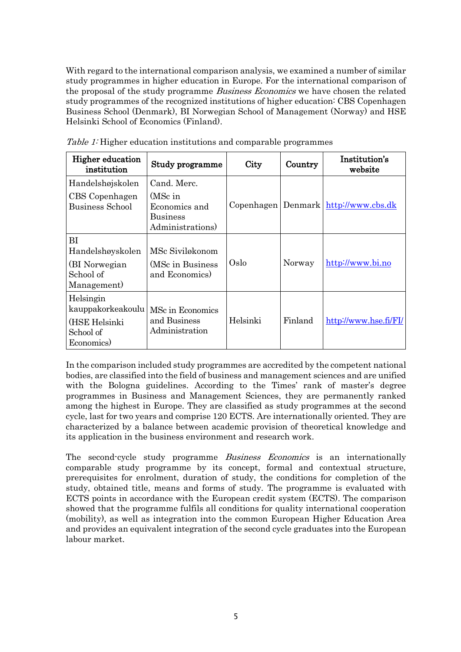With regard to the international comparison analysis, we examined a number of similar study programmes in higher education in Europe. For the international comparison of the proposal of the study programme *Business Economics* we have chosen the related study programmes of the recognized institutions of higher education: CBS Copenhagen Business School (Denmark), BI Norwegian School of Management (Norway) and HSE Helsinki School of Economics (Finland).

| <b>Higher education</b><br>institution                                     | Study programme                                                 | City     | Country | Institution's<br>website                 |
|----------------------------------------------------------------------------|-----------------------------------------------------------------|----------|---------|------------------------------------------|
| Handelshøjskolen                                                           | Cand. Merc.                                                     |          |         |                                          |
| CBS Copenhagen<br><b>Business School</b>                                   | (MSc in<br>Economics and<br><b>Business</b><br>Administrations) |          |         | Copenhagen   Denmark   http://www.cbs.dk |
| BI<br>Handelshøyskolen<br>(BI Norwegian)<br>School of<br>Management)       | MSc Siviløkonom<br>(MSc in Business)<br>and Economics)          | Oslo     | Norway  | http://www.bi.no                         |
| Helsingin<br>kauppakorkeakoulu<br>(HSE Helsinki<br>School of<br>Economics) | MSc in Economics<br>and Business<br>Administration              | Helsinki | Finland | http://www.hse.fi/FI/                    |

Table 1: Higher education institutions and comparable programmes

In the comparison included study programmes are accredited by the competent national bodies, are classified into the field of business and management sciences and are unified with the Bologna guidelines. According to the Times' rank of master's degree programmes in Business and Management Sciences, they are permanently ranked among the highest in Europe. They are classified as study programmes at the second cycle, last for two years and comprise 120 ECTS. Are internationally oriented. They are characterized by a balance between academic provision of theoretical knowledge and its application in the business environment and research work.

The second-cycle study programme *Business Economics* is an internationally comparable study programme by its concept, formal and contextual structure, prerequisites for enrolment, duration of study, the conditions for completion of the study, obtained title, means and forms of study. The programme is evaluated with ECTS points in accordance with the European credit system (ECTS). The comparison showed that the programme fulfils all conditions for quality international cooperation (mobility), as well as integration into the common European Higher Education Area and provides an equivalent integration of the second cycle graduates into the European labour market.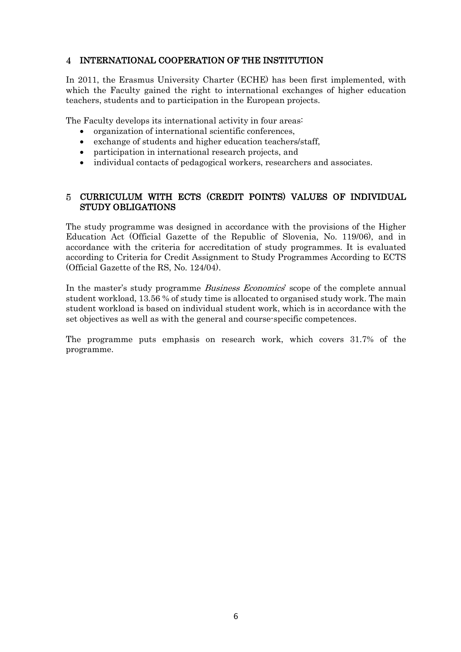#### <span id="page-6-0"></span>INTERNATIONAL COOPERATION OF THE INSTITUTION

In 2011, the Erasmus University Charter (ECHE) has been first implemented, with which the Faculty gained the right to international exchanges of higher education teachers, students and to participation in the European projects.

The Faculty develops its international activity in four areas:

- organization of international scientific conferences,
- exchange of students and higher education teachers/staff,
- participation in international research projects, and
- individual contacts of pedagogical workers, researchers and associates.

#### <span id="page-6-1"></span>CURRICULUM WITH ECTS (CREDIT POINTS) VALUES OF INDIVIDUAL STUDY OBLIGATIONS

The study programme was designed in accordance with the provisions of the Higher Education Act (Official Gazette of the Republic of Slovenia, No. 119/06), and in accordance with the criteria for accreditation of study programmes. It is evaluated according to Criteria for Credit Assignment to Study Programmes According to ECTS (Official Gazette of the RS, No. 124/04).

In the master's study programme *Business Economics*' scope of the complete annual student workload, 13.56 % of study time is allocated to organised study work. The main student workload is based on individual student work, which is in accordance with the set objectives as well as with the general and course-specific competences.

The programme puts emphasis on research work, which covers 31.7% of the programme.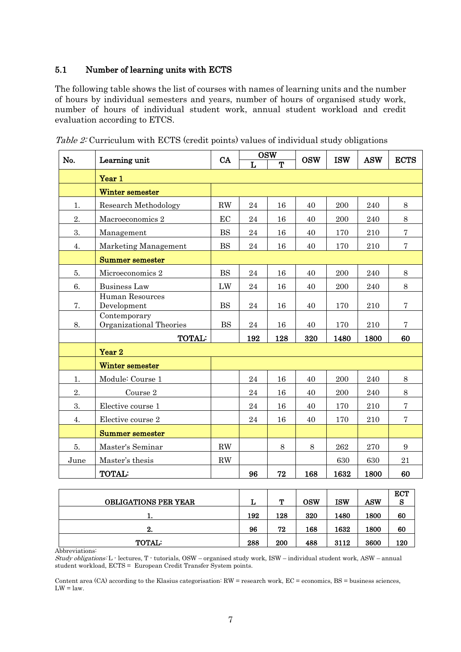#### <span id="page-7-0"></span>5.1 Number of learning units with ECTS

The following table shows the list of courses with names of learning units and the number of hours by individual semesters and years, number of hours of organised study work, number of hours of individual student work, annual student workload and credit evaluation according to ETCS.

| No.  | Learning unit                           | CA        | <b>OSW</b>   |        | <b>OSW</b> | <b>ISW</b> | <b>ASW</b> | <b>ECTS</b>    |
|------|-----------------------------------------|-----------|--------------|--------|------------|------------|------------|----------------|
|      |                                         |           | $\mathbf{L}$ | ጥ      |            |            |            |                |
|      | Year 1                                  |           |              |        |            |            |            |                |
|      | <b>Winter semester</b>                  |           |              |        |            |            |            |                |
| 1.   | Research Methodology                    | <b>RW</b> | 24           | 16     | 40         | 200        | 240        | 8              |
| 2.   | Macroeconomics 2                        | EC        | 24           | 16     | 40         | 200        | 240        | 8              |
| 3.   | Management                              | <b>BS</b> | 24           | 16     | 40         | 170        | 210        | $\overline{7}$ |
| 4.   | Marketing Management                    | <b>BS</b> | 24           | 16     | 40         | 170        | 210        | $\overline{7}$ |
|      | <b>Summer semester</b>                  |           |              |        |            |            |            |                |
| 5.   | Microeconomics 2                        | <b>BS</b> | 24           | 16     | 40         | 200        | 240        | 8              |
| 6.   | <b>Business Law</b>                     | LW        | 24           | 16     | 40         | 200        | 240        | 8              |
| 7.   | Human Resources<br>Development          | BS        | 24           | $16\,$ | 40         | 170        | 210        | $\overline{7}$ |
| 8.   | Contemporary<br>Organizational Theories | <b>BS</b> | 24           | 16     | 40         | 170        | 210        | $\overline{7}$ |
|      | <b>TOTAL:</b>                           |           | 192          | 128    | 320        | 1480       | 1800       | 60             |
|      | Year <sub>2</sub>                       |           |              |        |            |            |            |                |
|      | Winter semester                         |           |              |        |            |            |            |                |
| 1.   | Module: Course 1                        |           | 24           | 16     | 40         | 200        | 240        | 8              |
| 2.   | Course 2                                |           | 24           | 16     | 40         | 200        | 240        | 8              |
| 3.   | Elective course 1                       |           | 24           | 16     | 40         | 170        | 210        | $\bf 7$        |
| 4.   | Elective course 2                       |           | 24           | 16     | 40         | 170        | 210        | $\bf 7$        |
|      | <b>Summer semester</b>                  |           |              |        |            |            |            |                |
| 5.   | Master's Seminar                        | RW        |              | 8      | 8          | 262        | 270        | $9\phantom{.}$ |
| June | Master's thesis                         | RW        |              |        |            | 630        | 630        | 21             |
|      | <b>TOTAL:</b>                           |           | 96           | 72     | 168        | 1632       | 1800       | 60             |

Table 2: Curriculum with ECTS (credit points) values of individual study obligations

|                             |     | m   |            |      |            | <b>ECT</b> |
|-----------------------------|-----|-----|------------|------|------------|------------|
| <b>OBLIGATIONS PER YEAR</b> | ⊥   | л.  | <b>OSW</b> | ISW  | <b>ASW</b> | S          |
| . .                         | 192 | 128 | 320        | 1480 | 1800       | 60         |
| 2.                          | 96  | 72  | 168        | 1632 | 1800       | 60         |
| <b>TOTAL:</b>               | 288 | 200 | 488        | 3112 | 3600       | 120        |

Abbreviations:

Study obligations: L - lectures, T - tutorials, OSW – organised study work, ISW – individual student work, ASW – annual student workload, ECTS = European Credit Transfer System points.

Content area (CA) according to the Klasius categorisation: RW = research work, EC = economics, BS = business sciences,  $LW = law$ .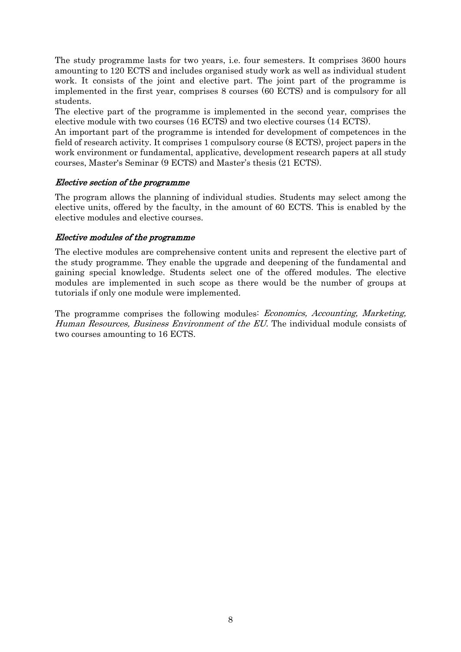The study programme lasts for two years, i.e. four semesters. It comprises 3600 hours amounting to 120 ECTS and includes organised study work as well as individual student work. It consists of the joint and elective part. The joint part of the programme is implemented in the first year, comprises 8 courses (60 ECTS) and is compulsory for all students.

The elective part of the programme is implemented in the second year, comprises the elective module with two courses (16 ECTS) and two elective courses (14 ECTS).

An important part of the programme is intended for development of competences in the field of research activity. It comprises 1 compulsory course (8 ECTS), project papers in the work environment or fundamental, applicative, development research papers at all study courses, Master's Seminar (9 ECTS) and Master's thesis (21 ECTS).

#### Elective section of the programme

The program allows the planning of individual studies. Students may select among the elective units, offered by the faculty, in the amount of 60 ECTS. This is enabled by the elective modules and elective courses.

#### Elective modules of the programme

The elective modules are comprehensive content units and represent the elective part of the study programme. They enable the upgrade and deepening of the fundamental and gaining special knowledge. Students select one of the offered modules. The elective modules are implemented in such scope as there would be the number of groups at tutorials if only one module were implemented.

The programme comprises the following modules: *Economics, Accounting, Marketing,* Human Resources, Business Environment of the EU. The individual module consists of two courses amounting to 16 ECTS.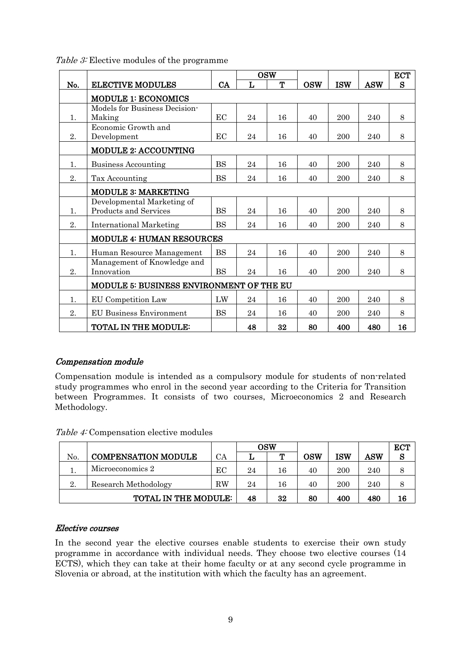|     |                                          |           | <b>OSW</b> |    |            |            |            | <b>ECT</b> |
|-----|------------------------------------------|-----------|------------|----|------------|------------|------------|------------|
| No. | <b>ELECTIVE MODULES</b>                  | CA        | L          | T  | <b>OSW</b> | <b>ISW</b> | <b>ASW</b> | S          |
|     | <b>MODULE 1: ECONOMICS</b>               |           |            |    |            |            |            |            |
|     | Models for Business Decision-            |           |            |    |            |            |            |            |
| 1.  | Making                                   | EC        | 24         | 16 | 40         | 200        | 240        | 8          |
|     | Economic Growth and                      |           |            |    |            |            |            |            |
| 2.  | Development                              | EC        | 24         | 16 | 40         | 200        | 240        | 8          |
|     | <b>MODULE 2: ACCOUNTING</b>              |           |            |    |            |            |            |            |
| 1.  | <b>Business Accounting</b>               | <b>BS</b> | 24         | 16 | 40         | 200        | 240        | 8          |
| 2.  | Tax Accounting                           | <b>BS</b> | 24         | 16 | 40         | 200        | 240        | 8          |
|     | <b>MODULE 3: MARKETING</b>               |           |            |    |            |            |            |            |
|     | Developmental Marketing of               |           |            |    |            |            |            |            |
| 1.  | Products and Services                    | <b>BS</b> | 24         | 16 | 40         | 200        | 240        | 8          |
| 2.  | <b>International Marketing</b>           | <b>BS</b> | 24         | 16 | 40         | 200        | 240        | 8          |
|     | MODULE 4: HUMAN RESOURCES                |           |            |    |            |            |            |            |
| 1.  | Human Resource Management                | <b>BS</b> | 24         | 16 | 40         | 200        | 240        | 8          |
|     | Management of Knowledge and              |           |            |    |            |            |            |            |
| 2.  | Innovation                               | <b>BS</b> | 24         | 16 | 40         | 200        | 240        | 8          |
|     | MODULE 5: BUSINESS ENVIRONMENT OF THE EU |           |            |    |            |            |            |            |
| 1.  | EU Competition Law                       | LW        | 24         | 16 | 40         | 200        | 240        | 8          |
| 2.  | <b>EU Business Environment</b>           | <b>BS</b> | 24         | 16 | 40         | 200        | 240        | 8          |
|     | <b>TOTAL IN THE MODULE:</b>              |           | 48         | 32 | 80         | 400        | 480        | 16         |

Table 3: Elective modules of the programme

### Compensation module

Compensation module is intended as a compulsory module for students of non-related study programmes who enrol in the second year according to the Criteria for Transition between Programmes. It consists of two courses, Microeconomics 2 and Research Methodology.

|                            |                             |    | OSW |    |     |     |     | <b>ECT</b> |
|----------------------------|-----------------------------|----|-----|----|-----|-----|-----|------------|
| No.                        | <b>COMPENSATION MODULE</b>  | СA |     |    | OSW | ISW | ASW | S          |
|                            | Microeconomics 2            | ЕC | 24  | 16 | 40  | 200 | 240 |            |
| Research Methodology<br>2. |                             |    | 24  | 16 | 40  | 200 | 240 |            |
|                            | <b>TOTAL IN THE MODULE:</b> |    | 48  | 32 | 80  | 400 | 480 | 16         |

### Elective courses

In the second year the elective courses enable students to exercise their own study programme in accordance with individual needs. They choose two elective courses (14 ECTS), which they can take at their home faculty or at any second cycle programme in Slovenia or abroad, at the institution with which the faculty has an agreement.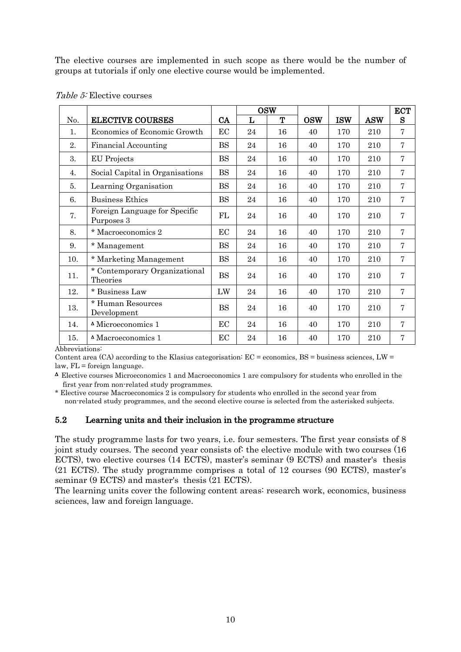The elective courses are implemented in such scope as there would be the number of groups at tutorials if only one elective course would be implemented.

|     |                                                    |           |    | <b>OSW</b> |            |            |            | <b>ECT</b>     |
|-----|----------------------------------------------------|-----------|----|------------|------------|------------|------------|----------------|
| No. | <b>ELECTIVE COURSES</b>                            | CA        | L  | Т          | <b>OSW</b> | <b>ISW</b> | <b>ASW</b> | S              |
| 1.  | Economics of Economic Growth                       |           | 24 | 16         | 40         | 170        | 210        | $\overline{7}$ |
| 2.  | <b>Financial Accounting</b>                        | <b>BS</b> | 24 | 16         | 40         | 170        | 210        | $\overline{7}$ |
| 3.  | <b>EU</b> Projects                                 | <b>BS</b> | 24 | 16         | 40         | 170        | 210        | $\overline{7}$ |
| 4.  | Social Capital in Organisations                    | <b>BS</b> | 24 | 16         | 40         | 170        | 210        | $\overline{7}$ |
| 5.  | Learning Organisation                              | <b>BS</b> | 24 | 16         | 40         | 170        | 210        | $\overline{7}$ |
| 6.  | <b>Business Ethics</b>                             |           | 24 | 16         | 40         | 170        | 210        | $\overline{7}$ |
| 7.  | Foreign Language for Specific<br>Purposes 3        | FL        | 24 | 16         | 40         | 170        | 210        | $\overline{7}$ |
| 8.  | * Macroeconomics 2                                 | EC        | 24 | 16         | 40         | 170        | 210        | $\overline{7}$ |
| 9.  | * Management                                       | <b>BS</b> | 24 | 16         | 40         | 170        | 210        | $\overline{7}$ |
| 10. | * Marketing Management                             | BS        | 24 | 16         | 40         | 170        | 210        | 7              |
| 11. | * Contemporary Organizational<br>Theories          | <b>BS</b> | 24 | 16         | 40         | 170        | 210        | $\overline{7}$ |
| 12. | * Business Law                                     | LW        | 24 | 16         | 40         | 170        | 210        | $\overline{7}$ |
| 13. | * Human Resources<br>Development                   | <b>BS</b> | 24 | 16         | 40         | 170        | 210        | 7              |
| 14. | <sup><math>\triangle</math></sup> Microeconomics 1 | EC        | 24 | 16         | 40         | 170        | 210        | $\overline{7}$ |
| 15. | <sup><math>\triangle</math></sup> Macroeconomics 1 | EС        | 24 | 16         | 40         | 170        | 210        | 7              |

#### Table 5: Elective courses

Abbreviations:

Content area  $(CA)$  according to the Klasius categorisation:  $EC =$  economics,  $BS =$  business sciences,  $LW =$ law, FL = foreign language.

<sup>∆</sup>Elective courses Microeconomics 1 and Macroeconomics 1 are compulsory for students who enrolled in the first year from non-related study programmes.

\* Elective course Macroeconomics 2 is compulsory for students who enrolled in the second year from non-related study programmes, and the second elective course is selected from the asterisked subjects.

#### <span id="page-10-0"></span>5.2 Learning units and their inclusion in the programme structure

The study programme lasts for two years, i.e. four semesters. The first year consists of 8 joint study courses. The second year consists of: the elective module with two courses (16 ECTS), two elective courses (14 ECTS), master's seminar (9 ECTS) and master's thesis (21 ECTS). The study programme comprises a total of 12 courses (90 ECTS), master's seminar (9 ECTS) and master's thesis (21 ECTS).

The learning units cover the following content areas: research work, economics, business sciences, law and foreign language.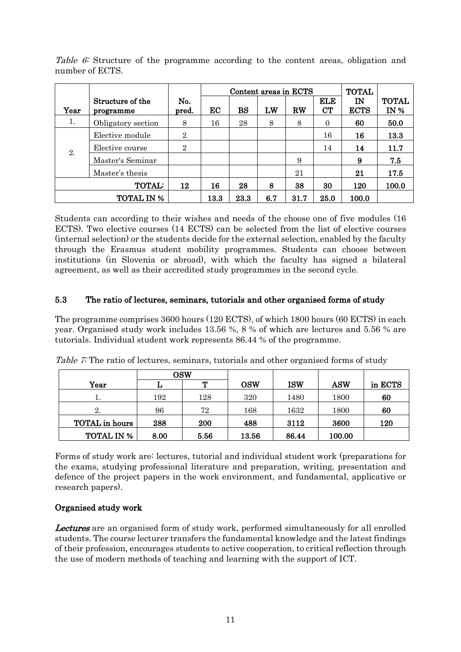|                     |                               |                |      | Content areas in ECTS |     |      |                  |                   |                      |
|---------------------|-------------------------------|----------------|------|-----------------------|-----|------|------------------|-------------------|----------------------|
| Year                | Structure of the<br>programme | No.<br>pred.   | EC   | <b>BS</b>             | LW  | RW   | <b>ELE</b><br>CT | IN<br><b>ECTS</b> | <b>TOTAL</b><br>IN % |
| 1.                  | Obligatory section            | 8              | 16   | 28                    | 8   | 8    | $\Omega$         | 60                | 50.0                 |
|                     | Elective module               | $\overline{2}$ |      |                       |     |      | 16               | 16                | 13.3                 |
| 2.                  | Elective course               | $\overline{2}$ |      |                       |     |      | 14               | 14                | 11.7                 |
|                     | Master's Seminar              |                |      |                       |     | 9    |                  | 9                 | 7.5                  |
|                     | Master's thesis               |                |      |                       |     | 21   |                  | 21                | 17.5                 |
| <b>TOTAL:</b><br>12 |                               | 16             | 28   | 8                     | 38  | 30   | 120              | 100.0             |                      |
|                     | <b>TOTAL IN %</b>             |                | 13.3 | 23.3                  | 6.7 | 31.7 | 25.0             | 100.0             |                      |

Table 6: Structure of the programme according to the content areas, obligation and number of ECTS.

Students can according to their wishes and needs of the choose one of five modules (16 ECTS). Two elective courses (14 ECTS) can be selected from the list of elective courses (internal selection) or the students decide for the external selection, enabled by the faculty through the Erasmus student mobility programmes. Students can choose between institutions (in Slovenia or abroad), with which the faculty has signed a bilateral agreement, as well as their accredited study programmes in the second cycle.

### <span id="page-11-0"></span>5.3 The ratio of lectures, seminars, tutorials and other organised forms of study

The programme comprises 3600 hours (120 ECTS), of which 1800 hours (60 ECTS) in each year. Organised study work includes 13.56 %, 8 % of which are lectures and 5.56 % are tutorials. Individual student work represents 86.44 % of the programme.

|                   | <b>OSW</b> |      |            |            |            |         |
|-------------------|------------|------|------------|------------|------------|---------|
| Year              |            | m    | <b>OSW</b> | <b>ISW</b> | <b>ASW</b> | in ECTS |
|                   | 192        | 128  | 320        | 1480       | 1800       | 60      |
| 2.                | 96         | 72   | 168        | 1632       | 1800       | 60      |
| TOTAL in hours    | 288        | 200  | 488        | 3112       | 3600       | 120     |
| <b>TOTAL IN %</b> | 8.00       | 5.56 | 13.56      | 86.44      | 100.00     |         |

Table 7: The ratio of lectures, seminars, tutorials and other organised forms of study

Forms of study work are: lectures, tutorial and individual student work (preparations for the exams, studying professional literature and preparation, writing, presentation and defence of the project papers in the work environment, and fundamental, applicative or research papers).

# Organised study work

Lectures are an organised form of study work, performed simultaneously for all enrolled students. The course lecturer transfers the fundamental knowledge and the latest findings of their profession, encourages students to active cooperation, to critical reflection through the use of modern methods of teaching and learning with the support of ICT.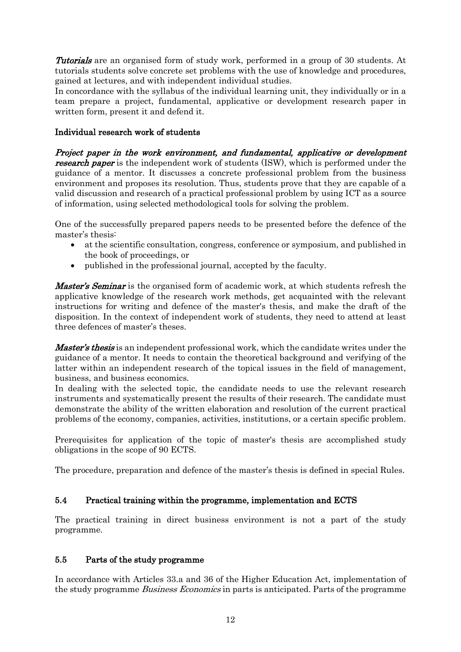**Tutorials** are an organised form of study work, performed in a group of 30 students. At tutorials students solve concrete set problems with the use of knowledge and procedures, gained at lectures, and with independent individual studies.

In concordance with the syllabus of the individual learning unit, they individually or in a team prepare a project, fundamental, applicative or development research paper in written form, present it and defend it.

#### Individual research work of students

Project paper in the work environment, and fundamental, applicative or development **research paper** is the independent work of students (ISW), which is performed under the guidance of a mentor. It discusses a concrete professional problem from the business environment and proposes its resolution. Thus, students prove that they are capable of a valid discussion and research of a practical professional problem by using ICT as a source of information, using selected methodological tools for solving the problem.

One of the successfully prepared papers needs to be presented before the defence of the master's thesis:

- at the scientific consultation, congress, conference or symposium, and published in the book of proceedings, or
- published in the professional journal, accepted by the faculty.

**Master's Seminar** is the organised form of academic work, at which students refresh the applicative knowledge of the research work methods, get acquainted with the relevant instructions for writing and defence of the master's thesis, and make the draft of the disposition. In the context of independent work of students, they need to attend at least three defences of master's theses.

*Master's thesis* is an independent professional work, which the candidate writes under the guidance of a mentor. It needs to contain the theoretical background and verifying of the latter within an independent research of the topical issues in the field of management, business, and business economics.

In dealing with the selected topic, the candidate needs to use the relevant research instruments and systematically present the results of their research. The candidate must demonstrate the ability of the written elaboration and resolution of the current practical problems of the economy, companies, activities, institutions, or a certain specific problem.

Prerequisites for application of the topic of master's thesis are accomplished study obligations in the scope of 90 ECTS.

The procedure, preparation and defence of the master's thesis is defined in special Rules.

### <span id="page-12-0"></span>5.4 Practical training within the programme, implementation and ECTS

The practical training in direct business environment is not a part of the study programme.

#### <span id="page-12-1"></span>5.5 Parts of the study programme

In accordance with Articles 33.a and 36 of the Higher Education Act, implementation of the study programme *Business Economics* in parts is anticipated. Parts of the programme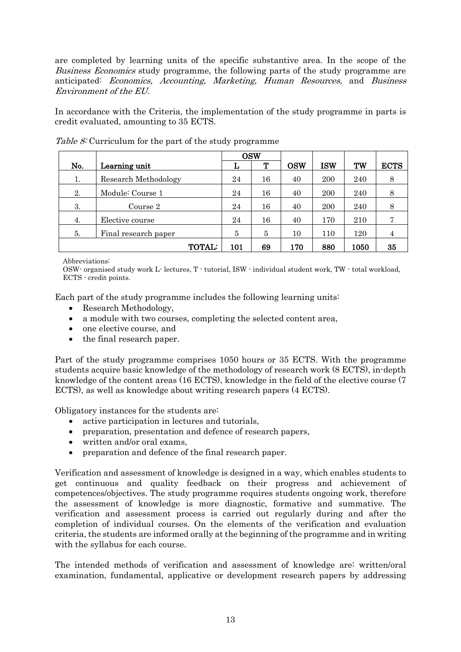are completed by learning units of the specific substantive area. In the scope of the Business Economics study programme, the following parts of the study programme are anticipated: Economics, Accounting, Marketing, Human Resources, and Business Environment of the EU.

In accordance with the Criteria, the implementation of the study programme in parts is credit evaluated, amounting to 35 ECTS.

|     |                      |     | <b>OSW</b> |            |            |      |             |
|-----|----------------------|-----|------------|------------|------------|------|-------------|
| No. | Learning unit        | L   | т          | <b>OSW</b> | <b>ISW</b> | TW   | <b>ECTS</b> |
| 1.  | Research Methodology | 24  | 16         | 40         | 200        | 240  | 8           |
| 2.  | Module: Course 1     | 24  | 16         | 40         | 200        | 240  | 8           |
| 3.  | Course 2             | 24  | 16         | 40         | 200        | 240  | 8           |
| 4.  | Elective course      | 24  | 16         | 40         | 170        | 210  | 7           |
| 5.  | Final research paper | 5   | 5          | 10         | 110        | 120  | 4           |
|     | <b>TOTAL:</b>        | 101 | 69         | 170        | 880        | 1050 | 35          |

Table 8: Curriculum for the part of the study programme

Abbreviations:

OSW- organised study work L- lectures, T - tutorial, ISW - individual student work, TW - total workload, ECTS - credit points.

Each part of the study programme includes the following learning units:

- Research Methodology,
- a module with two courses, completing the selected content area,
- one elective course, and
- the final research paper.

Part of the study programme comprises 1050 hours or 35 ECTS. With the programme students acquire basic knowledge of the methodology of research work (8 ECTS), in-depth knowledge of the content areas (16 ECTS), knowledge in the field of the elective course (7 ECTS), as well as knowledge about writing research papers (4 ECTS).

Obligatory instances for the students are:

- active participation in lectures and tutorials.
- preparation, presentation and defence of research papers,
- written and/or oral exams,
- preparation and defence of the final research paper.

Verification and assessment of knowledge is designed in a way, which enables students to get continuous and quality feedback on their progress and achievement of competences/objectives. The study programme requires students ongoing work, therefore the assessment of knowledge is more diagnostic, formative and summative. The verification and assessment process is carried out regularly during and after the completion of individual courses. On the elements of the verification and evaluation criteria, the students are informed orally at the beginning of the programme and in writing with the syllabus for each course.

The intended methods of verification and assessment of knowledge are: written/oral examination, fundamental, applicative or development research papers by addressing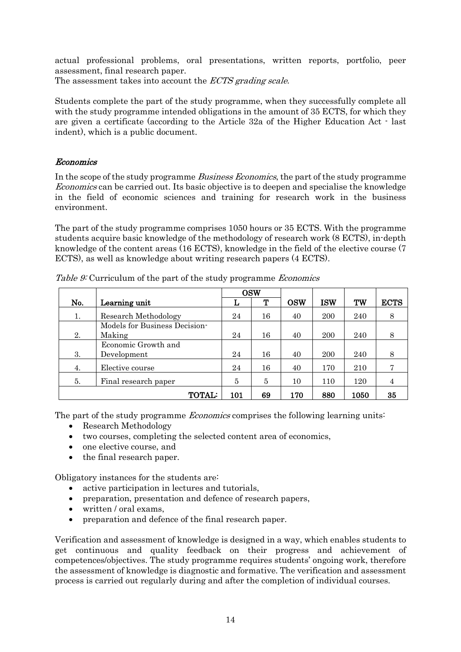actual professional problems, oral presentations, written reports, portfolio, peer assessment, final research paper.

The assessment takes into account the *ECTS grading scale*.

Students complete the part of the study programme, when they successfully complete all with the study programme intended obligations in the amount of 35 ECTS, for which they are given a certificate (according to the Article 32a of the Higher Education Act - last indent), which is a public document.

#### Economics

In the scope of the study programme *Business Economics*, the part of the study programme Economics can be carried out. Its basic objective is to deepen and specialise the knowledge in the field of economic sciences and training for research work in the business environment.

The part of the study programme comprises 1050 hours or 35 ECTS. With the programme students acquire basic knowledge of the methodology of research work (8 ECTS), in-depth knowledge of the content areas (16 ECTS), knowledge in the field of the elective course (7 ECTS), as well as knowledge about writing research papers (4 ECTS).

|     |                               |     | <b>OSW</b> |            |            |      |             |
|-----|-------------------------------|-----|------------|------------|------------|------|-------------|
| No. | Learning unit                 | L   | Т          | <b>OSW</b> | <b>ISW</b> | TW   | <b>ECTS</b> |
| 1.  | Research Methodology          | 24  | 16         | 40         | 200        | 240  | 8           |
|     | Models for Business Decision- |     |            |            |            |      |             |
| 2.  | Making                        | 24  | 16         | 40         | 200        | 240  | 8           |
|     | Economic Growth and           |     |            |            |            |      |             |
| 3.  | Development                   | 24  | 16         | 40         | 200        | 240  | 8           |
| 4.  | Elective course               | 24  | 16         | 40         | 170        | 210  |             |
| 5.  | Final research paper          |     | 5          | 10         | 110        | 120  |             |
|     | <b>TOTAL:</b>                 | 101 | 69         | 170        | 880        | 1050 | 35          |

Table 9: Curriculum of the part of the study programme *Economics* 

The part of the study programme *Economics* comprises the following learning units:

- Research Methodology
- two courses, completing the selected content area of economics,
- one elective course, and
- the final research paper.

Obligatory instances for the students are:

- active participation in lectures and tutorials,
- preparation, presentation and defence of research papers,
- written / oral exams,
- preparation and defence of the final research paper.

Verification and assessment of knowledge is designed in a way, which enables students to get continuous and quality feedback on their progress and achievement of competences/objectives. The study programme requires students' ongoing work, therefore the assessment of knowledge is diagnostic and formative. The verification and assessment process is carried out regularly during and after the completion of individual courses.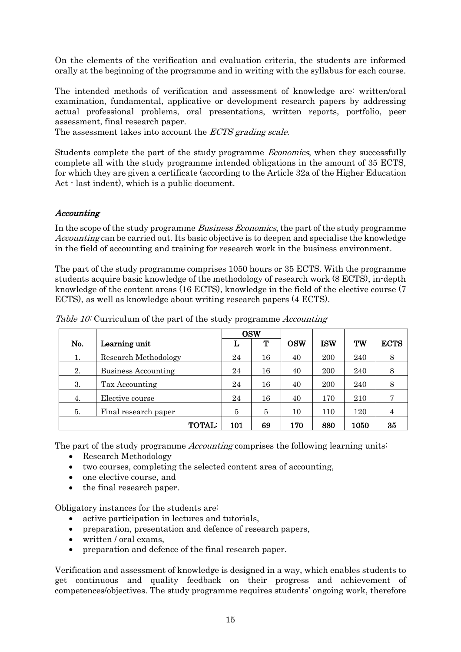On the elements of the verification and evaluation criteria, the students are informed orally at the beginning of the programme and in writing with the syllabus for each course.

The intended methods of verification and assessment of knowledge are: written/oral examination, fundamental, applicative or development research papers by addressing actual professional problems, oral presentations, written reports, portfolio, peer assessment, final research paper.

The assessment takes into account the *ECTS grading scale*.

Students complete the part of the study programme Economics, when they successfully complete all with the study programme intended obligations in the amount of 35 ECTS, for which they are given a certificate (according to the Article 32a of the Higher Education Act - last indent), which is a public document.

#### Accounting

In the scope of the study programme *Business Economics*, the part of the study programme Accounting can be carried out. Its basic objective is to deepen and specialise the knowledge in the field of accounting and training for research work in the business environment.

The part of the study programme comprises 1050 hours or 35 ECTS. With the programme students acquire basic knowledge of the methodology of research work (8 ECTS), in-depth knowledge of the content areas (16 ECTS), knowledge in the field of the elective course (7 ECTS), as well as knowledge about writing research papers (4 ECTS).

|     |                            | <b>OSW</b> |    |            |            |      |             |
|-----|----------------------------|------------|----|------------|------------|------|-------------|
| No. | Learning unit              | L          | т  | <b>OSW</b> | <b>ISW</b> | TW   | <b>ECTS</b> |
| 1.  | Research Methodology       | 24         | 16 | 40         | 200        | 240  | 8           |
| 2.  | <b>Business Accounting</b> | 24         | 16 | 40         | 200        | 240  | 8           |
| 3.  | Tax Accounting             | 24         | 16 | 40         | 200        | 240  | 8           |
| 4.  | Elective course            | 24         | 16 | 40         | 170        | 210  |             |
| 5.  | Final research paper       | 5          | 5  | 10         | 110        | 120  | 4           |
|     | <b>TOTAL:</b>              | 101        | 69 | 170        | 880        | 1050 | 35          |

Table 10: Curriculum of the part of the study programme Accounting

The part of the study programme *Accounting* comprises the following learning units:

- Research Methodology
- two courses, completing the selected content area of accounting,
- one elective course, and
- the final research paper.

Obligatory instances for the students are:

- active participation in lectures and tutorials,
- preparation, presentation and defence of research papers,
- written / oral exams.
- preparation and defence of the final research paper.

Verification and assessment of knowledge is designed in a way, which enables students to get continuous and quality feedback on their progress and achievement of competences/objectives. The study programme requires students' ongoing work, therefore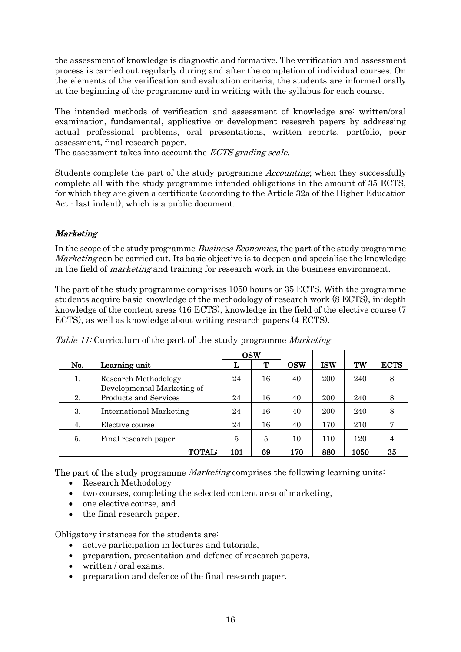the assessment of knowledge is diagnostic and formative. The verification and assessment process is carried out regularly during and after the completion of individual courses. On the elements of the verification and evaluation criteria, the students are informed orally at the beginning of the programme and in writing with the syllabus for each course.

The intended methods of verification and assessment of knowledge are: written/oral examination, fundamental, applicative or development research papers by addressing actual professional problems, oral presentations, written reports, portfolio, peer assessment, final research paper.

The assessment takes into account the *ECTS grading scale*.

Students complete the part of the study programme Accounting, when they successfully complete all with the study programme intended obligations in the amount of 35 ECTS, for which they are given a certificate (according to the Article 32a of the Higher Education Act - last indent), which is a public document.

# Marketing

In the scope of the study programme *Business Economics*, the part of the study programme Marketing can be carried out. Its basic objective is to deepen and specialise the knowledge in the field of *marketing* and training for research work in the business environment.

The part of the study programme comprises 1050 hours or 35 ECTS. With the programme students acquire basic knowledge of the methodology of research work (8 ECTS), in-depth knowledge of the content areas (16 ECTS), knowledge in the field of the elective course (7 ECTS), as well as knowledge about writing research papers (4 ECTS).

|     |                            |     | <b>OSW</b> |            |            |      |             |
|-----|----------------------------|-----|------------|------------|------------|------|-------------|
| No. | Learning unit              | L   | Т          | <b>OSW</b> | <b>ISW</b> | TW   | <b>ECTS</b> |
| 1.  | Research Methodology       | 24  | 16         | 40         | 200        | 240  | 8           |
|     | Developmental Marketing of |     |            |            |            |      |             |
| 2.  | Products and Services      | 24  | 16         | 40         | 200        | 240  | 8           |
| 3.  | International Marketing    | 24  | 16         | 40         | 200        | 240  | 8           |
| 4.  | Elective course            | 24  | 16         | 40         | 170        | 210  | 7           |
| 5.  | Final research paper       | 5   | 5          | 10         | 110        | 120  | 4           |
|     | <b>TOTAL:</b>              | 101 | 69         | 170        | 880        | 1050 | 35          |

Table 11: Curriculum of the part of the study programme Marketing

The part of the study programme *Marketing* comprises the following learning units:

- Research Methodology
- two courses, completing the selected content area of marketing,
- one elective course, and
- the final research paper.

Obligatory instances for the students are:

- active participation in lectures and tutorials,
- preparation, presentation and defence of research papers,
- written / oral exams,
- preparation and defence of the final research paper.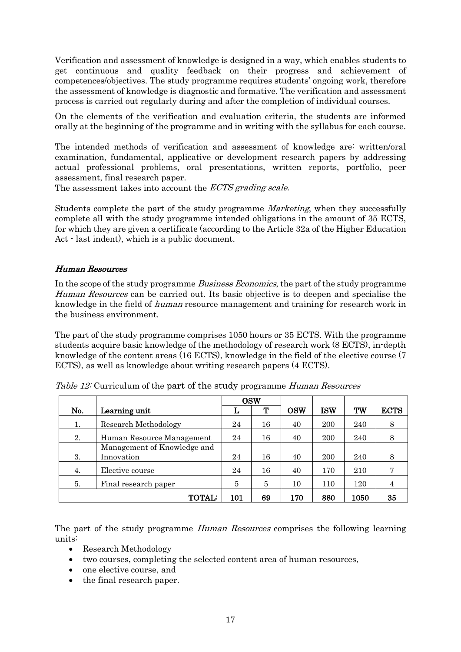Verification and assessment of knowledge is designed in a way, which enables students to get continuous and quality feedback on their progress and achievement of competences/objectives. The study programme requires students' ongoing work, therefore the assessment of knowledge is diagnostic and formative. The verification and assessment process is carried out regularly during and after the completion of individual courses.

On the elements of the verification and evaluation criteria, the students are informed orally at the beginning of the programme and in writing with the syllabus for each course.

The intended methods of verification and assessment of knowledge are: written/oral examination, fundamental, applicative or development research papers by addressing actual professional problems, oral presentations, written reports, portfolio, peer assessment, final research paper.

The assessment takes into account the *ECTS grading scale*.

Students complete the part of the study programme Marketing, when they successfully complete all with the study programme intended obligations in the amount of 35 ECTS, for which they are given a certificate (according to the Article 32a of the Higher Education Act - last indent), which is a public document.

#### Human Resources

In the scope of the study programme *Business Economics*, the part of the study programme Human Resources can be carried out. Its basic objective is to deepen and specialise the knowledge in the field of human resource management and training for research work in the business environment.

The part of the study programme comprises 1050 hours or 35 ECTS. With the programme students acquire basic knowledge of the methodology of research work (8 ECTS), in-depth knowledge of the content areas (16 ECTS), knowledge in the field of the elective course (7 ECTS), as well as knowledge about writing research papers (4 ECTS).

|     |                             |     | <b>OSW</b> |            |            |      |             |
|-----|-----------------------------|-----|------------|------------|------------|------|-------------|
| No. | Learning unit               | L   | ጥ          | <b>OSW</b> | <b>ISW</b> | TW   | <b>ECTS</b> |
| 1.  | Research Methodology        | 24  | 16         | 40         | 200        | 240  | 8           |
| 2.  | Human Resource Management   | 24  | 16         | 40         | 200        | 240  | 8           |
|     | Management of Knowledge and |     |            |            |            |      |             |
| 3.  | Innovation                  | 24  | 16         | 40         | 200        | 240  | 8           |
| 4.  | Elective course             | 24  | 16         | 40         | 170        | 210  |             |
| 5.  | Final research paper        |     | 5          | 10         | 110        | 120  |             |
|     | <b>TOTAL:</b>               | 101 | 69         | 170        | 880        | 1050 | 35          |

|  | Table 12: Curriculum of the part of the study programme Human Resources |  |  |  |  |  |
|--|-------------------------------------------------------------------------|--|--|--|--|--|
|--|-------------------------------------------------------------------------|--|--|--|--|--|

The part of the study programme *Human Resources* comprises the following learning units:

- Research Methodology
- two courses, completing the selected content area of human resources,
- one elective course, and
- the final research paper.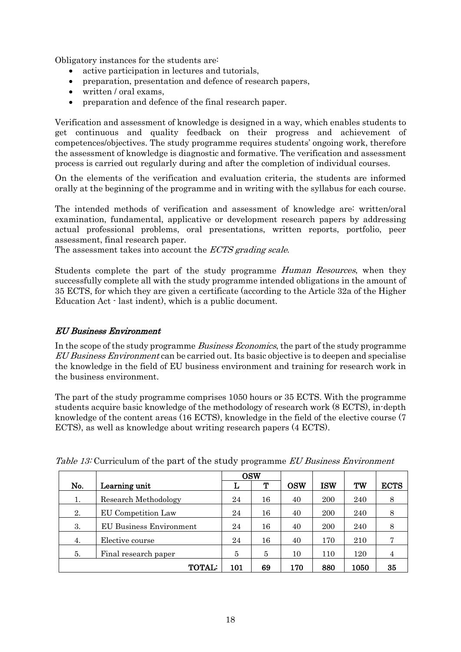Obligatory instances for the students are:

- active participation in lectures and tutorials,
- preparation, presentation and defence of research papers,
- written / oral exams.
- preparation and defence of the final research paper.

Verification and assessment of knowledge is designed in a way, which enables students to get continuous and quality feedback on their progress and achievement of competences/objectives. The study programme requires students' ongoing work, therefore the assessment of knowledge is diagnostic and formative. The verification and assessment process is carried out regularly during and after the completion of individual courses.

On the elements of the verification and evaluation criteria, the students are informed orally at the beginning of the programme and in writing with the syllabus for each course.

The intended methods of verification and assessment of knowledge are: written/oral examination, fundamental, applicative or development research papers by addressing actual professional problems, oral presentations, written reports, portfolio, peer assessment, final research paper.

The assessment takes into account the *ECTS grading scale*.

Students complete the part of the study programme Human Resources, when they successfully complete all with the study programme intended obligations in the amount of 35 ECTS, for which they are given a certificate (according to the Article 32a of the Higher Education Act - last indent), which is a public document.

### EU Business Environment

In the scope of the study programme *Business Economics*, the part of the study programme EU Business Environment can be carried out. Its basic objective is to deepen and specialise the knowledge in the field of EU business environment and training for research work in the business environment.

The part of the study programme comprises 1050 hours or 35 ECTS. With the programme students acquire basic knowledge of the methodology of research work (8 ECTS), in-depth knowledge of the content areas (16 ECTS), knowledge in the field of the elective course (7 ECTS), as well as knowledge about writing research papers (4 ECTS).

|     |                                |     | <b>OSW</b> |            |            |      |             |
|-----|--------------------------------|-----|------------|------------|------------|------|-------------|
| No. | Learning unit                  | L   | ጥ          | <b>OSW</b> | <b>ISW</b> | TW   | <b>ECTS</b> |
| 1.  | Research Methodology           | 24  | 16         | 40         | 200        | 240  | 8           |
| 2.  | EU Competition Law             | 24  | 16         | 40         | 200        | 240  | 8           |
| 3.  | <b>EU Business Environment</b> | 24  | 16         | 40         | 200        | 240  | 8           |
| 4.  | Elective course                | 24  | 16         | 40         | 170        | 210  | 7           |
| 5.  | Final research paper           | 5   | 5          | 10         | 110        | 120  | 4           |
|     | <b>TOTAL:</b>                  | 101 | 69         | 170        | 880        | 1050 | 35          |

Table 13: Curriculum of the part of the study programme EU Business Environment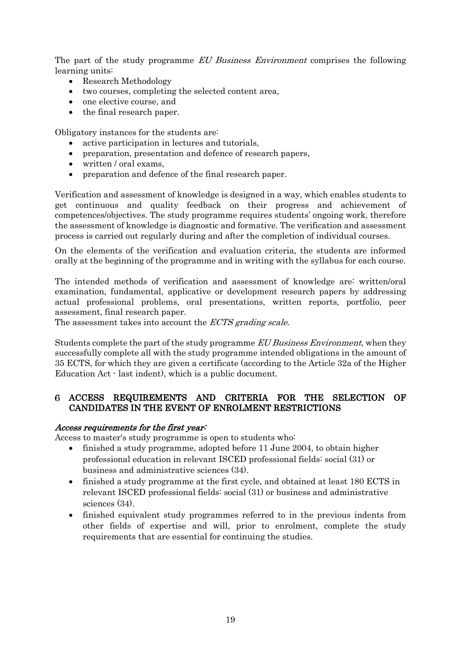The part of the study programme EU Business Environment comprises the following learning units:

- Research Methodology
- two courses, completing the selected content area,
- one elective course, and
- the final research paper.

Obligatory instances for the students are:

- active participation in lectures and tutorials.
- preparation, presentation and defence of research papers,
- written / oral exams,
- preparation and defence of the final research paper.

Verification and assessment of knowledge is designed in a way, which enables students to get continuous and quality feedback on their progress and achievement of competences/objectives. The study programme requires students' ongoing work, therefore the assessment of knowledge is diagnostic and formative. The verification and assessment process is carried out regularly during and after the completion of individual courses.

On the elements of the verification and evaluation criteria, the students are informed orally at the beginning of the programme and in writing with the syllabus for each course.

The intended methods of verification and assessment of knowledge are: written/oral examination, fundamental, applicative or development research papers by addressing actual professional problems, oral presentations, written reports, portfolio, peer assessment, final research paper.

The assessment takes into account the *ECTS grading scale*.

Students complete the part of the study programme EU Business Environment, when they successfully complete all with the study programme intended obligations in the amount of 35 ECTS, for which they are given a certificate (according to the Article 32a of the Higher Education Act - last indent), which is a public document.

#### <span id="page-19-0"></span>ACCESS REQUIREMENTS AND CRITERIA FOR THE SELECTION OF CANDIDATES IN THE EVENT OF ENROLMENT RESTRICTIONS

#### Access requirements for the first year:

Access to master's study programme is open to students who:

- finished a study programme, adopted before 11 June 2004, to obtain higher professional education in relevant ISCED professional fields: social (31) or business and administrative sciences (34).
- finished a study programme at the first cycle, and obtained at least 180 ECTS in relevant ISCED professional fields: social (31) or business and administrative sciences (34).
- finished equivalent study programmes referred to in the previous indents from other fields of expertise and will, prior to enrolment, complete the study requirements that are essential for continuing the studies.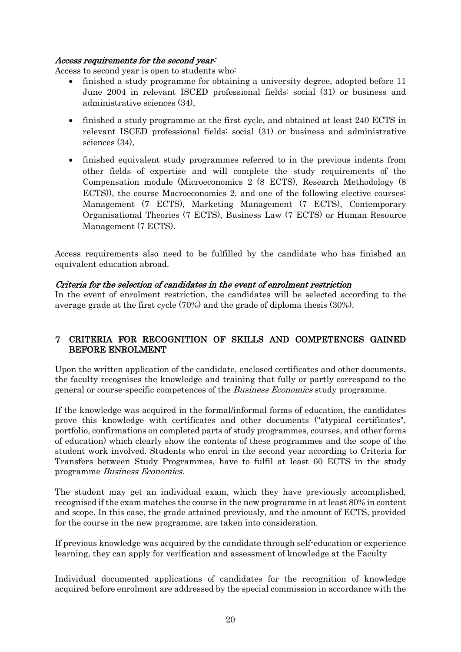#### Access requirements for the second year:

Access to second year is open to students who:

- finished a study programme for obtaining a university degree, adopted before 11 June 2004 in relevant ISCED professional fields: social (31) or business and administrative sciences (34),
- finished a study programme at the first cycle, and obtained at least 240 ECTS in relevant ISCED professional fields: social (31) or business and administrative sciences (34),
- finished equivalent study programmes referred to in the previous indents from other fields of expertise and will complete the study requirements of the Compensation module (Microeconomics 2 (8 ECTS), Research Methodology (8 ECTS)), the course Macroeconomics 2, and one of the following elective courses: Management (7 ECTS), Marketing Management (7 ECTS), Contemporary Organisational Theories (7 ECTS), Business Law (7 ECTS) or Human Resource Management (7 ECTS).

Access requirements also need to be fulfilled by the candidate who has finished an equivalent education abroad.

#### Criteria for the selection of candidates in the event of enrolment restriction

In the event of enrolment restriction, the candidates will be selected according to the average grade at the first cycle (70%) and the grade of diploma thesis (30%).

### <span id="page-20-0"></span>CRITERIA FOR RECOGNITION OF SKILLS AND COMPETENCES GAINED BEFORE ENROLMENT

Upon the written application of the candidate, enclosed certificates and other documents, the faculty recognises the knowledge and training that fully or partly correspond to the general or course-specific competences of the Business Economics study programme.

If the knowledge was acquired in the formal/informal forms of education, the candidates prove this knowledge with certificates and other documents ("atypical certificates", portfolio, confirmations on completed parts of study programmes, courses, and other forms of education) which clearly show the contents of these programmes and the scope of the student work involved. Students who enrol in the second year according to Criteria for Transfers between Study Programmes, have to fulfil at least 60 ECTS in the study programme Business Economics.

The student may get an individual exam, which they have previously accomplished, recognised if the exam matches the course in the new programme in at least 80% in content and scope. In this case, the grade attained previously, and the amount of ECTS, provided for the course in the new programme, are taken into consideration.

If previous knowledge was acquired by the candidate through self-education or experience learning, they can apply for verification and assessment of knowledge at the Faculty

Individual documented applications of candidates for the recognition of knowledge acquired before enrolment are addressed by the special commission in accordance with the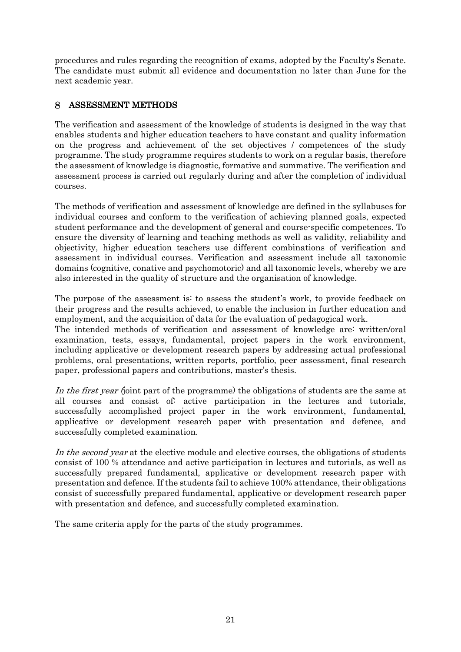procedures and rules regarding the recognition of exams, adopted by the Faculty's Senate. The candidate must submit all evidence and documentation no later than June for the next academic year.

#### <span id="page-21-0"></span>8 ASSESSMENT METHODS

The verification and assessment of the knowledge of students is designed in the way that enables students and higher education teachers to have constant and quality information on the progress and achievement of the set objectives / competences of the study programme. The study programme requires students to work on a regular basis, therefore the assessment of knowledge is diagnostic, formative and summative. The verification and assessment process is carried out regularly during and after the completion of individual courses.

The methods of verification and assessment of knowledge are defined in the syllabuses for individual courses and conform to the verification of achieving planned goals, expected student performance and the development of general and course-specific competences. To ensure the diversity of learning and teaching methods as well as validity, reliability and objectivity, higher education teachers use different combinations of verification and assessment in individual courses. Verification and assessment include all taxonomic domains (cognitive, conative and psychomotoric) and all taxonomic levels, whereby we are also interested in the quality of structure and the organisation of knowledge.

The purpose of the assessment is: to assess the student's work, to provide feedback on their progress and the results achieved, to enable the inclusion in further education and employment, and the acquisition of data for the evaluation of pedagogical work.

The intended methods of verification and assessment of knowledge are: written/oral examination, tests, essays, fundamental, project papers in the work environment, including applicative or development research papers by addressing actual professional problems, oral presentations, written reports, portfolio, peer assessment, final research paper, professional papers and contributions, master's thesis.

In the first year (joint part of the programme) the obligations of students are the same at all courses and consist of: active participation in the lectures and tutorials, successfully accomplished project paper in the work environment, fundamental, applicative or development research paper with presentation and defence, and successfully completed examination.

In the second year at the elective module and elective courses, the obligations of students consist of 100 % attendance and active participation in lectures and tutorials, as well as successfully prepared fundamental, applicative or development research paper with presentation and defence. If the students fail to achieve 100% attendance, their obligations consist of successfully prepared fundamental, applicative or development research paper with presentation and defence, and successfully completed examination.

The same criteria apply for the parts of the study programmes.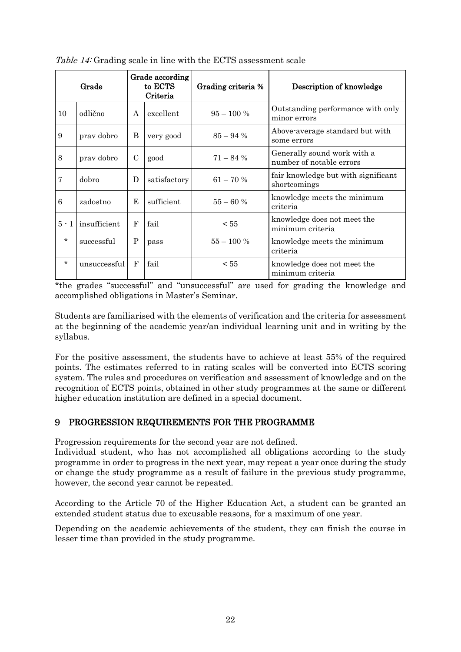|         | Grade        |               | Grade according<br>to ECTS<br>Criteria | Grading criteria % | Description of knowledge                                |
|---------|--------------|---------------|----------------------------------------|--------------------|---------------------------------------------------------|
| 10      | odlično      | $\mathsf{A}$  | excellent                              | $95 - 100\%$       | Outstanding performance with only<br>minor errors       |
| 9       | prav dobro   | B             | very good                              | $85 - 94\%$        | Above-average standard but with<br>some errors          |
| 8       | prav dobro   | $\mathcal{C}$ | good                                   | $71 - 84\%$        | Generally sound work with a<br>number of notable errors |
| 7       | dobro        | D             | satisfactory                           | $61 - 70%$         | fair knowledge but with significant<br>shortcomings     |
| 6       | zadostno     | F.            | sufficient                             | $55 - 60%$         | knowledge meets the minimum<br>criteria                 |
| $5 - 1$ | insufficient | F             | fail                                   | < 55               | knowledge does not meet the<br>minimum criteria         |
| $\star$ | successful   | P             | pass                                   | $55 - 100\%$       | knowledge meets the minimum<br>criteria                 |
| $\star$ | unsuccessful | F             | fail                                   | $\leq 55$          | knowledge does not meet the<br>minimum criteria         |

Table 14: Grading scale in line with the ECTS assessment scale

\*the grades "successful" and "unsuccessful" are used for grading the knowledge and accomplished obligations in Master's Seminar.

Students are familiarised with the elements of verification and the criteria for assessment at the beginning of the academic year/an individual learning unit and in writing by the syllabus.

For the positive assessment, the students have to achieve at least 55% of the required points. The estimates referred to in rating scales will be converted into ECTS scoring system. The rules and procedures on verification and assessment of knowledge and on the recognition of ECTS points, obtained in other study programmes at the same or different higher education institution are defined in a special document.

### <span id="page-22-0"></span>PROGRESSION REQUIREMENTS FOR THE PROGRAMME

Progression requirements for the second year are not defined.

Individual student, who has not accomplished all obligations according to the study programme in order to progress in the next year, may repeat a year once during the study or change the study programme as a result of failure in the previous study programme, however, the second year cannot be repeated.

According to the Article 70 of the Higher Education Act, a student can be granted an extended student status due to excusable reasons, for a maximum of one year.

Depending on the academic achievements of the student, they can finish the course in lesser time than provided in the study programme.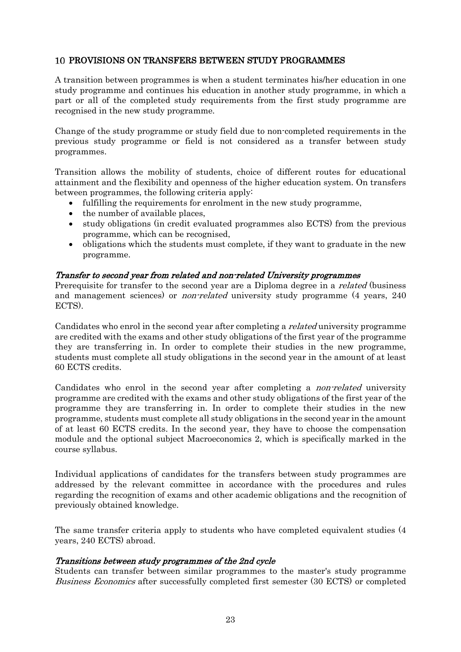#### <span id="page-23-0"></span>PROVISIONS ON TRANSFERS BETWEEN STUDY PROGRAMMES

A transition between programmes is when a student terminates his/her education in one study programme and continues his education in another study programme, in which a part or all of the completed study requirements from the first study programme are recognised in the new study programme.

Change of the study programme or study field due to non-completed requirements in the previous study programme or field is not considered as a transfer between study programmes.

Transition allows the mobility of students, choice of different routes for educational attainment and the flexibility and openness of the higher education system. On transfers between programmes, the following criteria apply:

- fulfilling the requirements for enrolment in the new study programme,
- the number of available places,
- study obligations (in credit evaluated programmes also ECTS) from the previous programme, which can be recognised,
- obligations which the students must complete, if they want to graduate in the new programme.

#### Transfer to second year from related and non-related University programmes

Prerequisite for transfer to the second year are a Diploma degree in a *related* (business and management sciences) or *non-related* university study programme (4 years, 240 ECTS).

Candidates who enrol in the second year after completing a related university programme are credited with the exams and other study obligations of the first year of the programme they are transferring in. In order to complete their studies in the new programme, students must complete all study obligations in the second year in the amount of at least 60 ECTS credits.

Candidates who enrol in the second year after completing a non-related university programme are credited with the exams and other study obligations of the first year of the programme they are transferring in. In order to complete their studies in the new programme, students must complete all study obligations in the second year in the amount of at least 60 ECTS credits. In the second year, they have to choose the compensation module and the optional subject Macroeconomics 2, which is specifically marked in the course syllabus.

Individual applications of candidates for the transfers between study programmes are addressed by the relevant committee in accordance with the procedures and rules regarding the recognition of exams and other academic obligations and the recognition of previously obtained knowledge.

The same transfer criteria apply to students who have completed equivalent studies (4 years, 240 ECTS) abroad.

#### Transitions between study programmes of the 2nd cycle

Students can transfer between similar programmes to the master's study programme Business Economics after successfully completed first semester (30 ECTS) or completed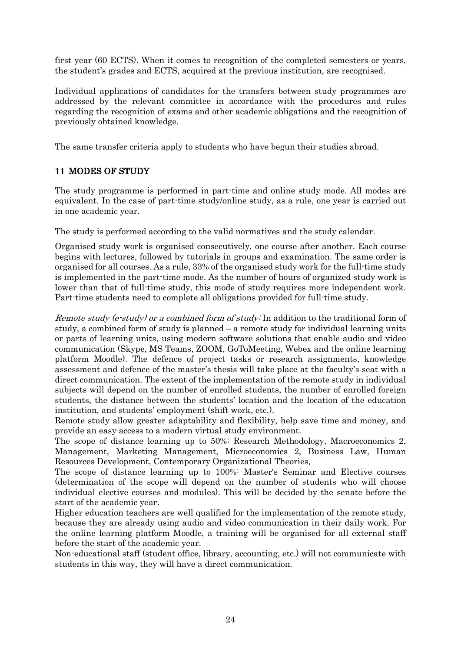first year (60 ECTS). When it comes to recognition of the completed semesters or years, the student's grades and ECTS, acquired at the previous institution, are recognised.

Individual applications of candidates for the transfers between study programmes are addressed by the relevant committee in accordance with the procedures and rules regarding the recognition of exams and other academic obligations and the recognition of previously obtained knowledge.

<span id="page-24-0"></span>The same transfer criteria apply to students who have begun their studies abroad.

# 11 MODES OF STUDY

The study programme is performed in part-time and online study mode. All modes are equivalent. In the case of part-time study/online study, as a rule, one year is carried out in one academic year.

The study is performed according to the valid normatives and the study calendar.

Organised study work is organised consecutively, one course after another. Each course begins with lectures, followed by tutorials in groups and examination. The same order is organised for all courses. As a rule, 33% of the organised study work for the full-time study is implemented in the part-time mode. As the number of hours of organized study work is lower than that of full-time study, this mode of study requires more independent work. Part-time students need to complete all obligations provided for full-time study.

<span id="page-24-1"></span>Remote study (e-study) or a combined form of study: In addition to the traditional form of study, a combined form of study is planned – a remote study for individual learning units or parts of learning units, using modern software solutions that enable audio and video communication (Skype, MS Teams, ZOOM, GoToMeeting, Webex and the online learning platform Moodle). The defence of project tasks or research assignments, knowledge assessment and defence of the master's thesis will take place at the faculty's seat with a direct communication. The extent of the implementation of the remote study in individual subjects will depend on the number of enrolled students, the number of enrolled foreign students, the distance between the students' location and the location of the education institution, and students' employment (shift work, etc.).

Remote study allow greater adaptability and flexibility, help save time and money, and provide an easy access to a modern virtual study environment.

The scope of distance learning up to 50%: Research Methodology, Macroeconomics 2, Management, Marketing Management, Microeconomics 2, Business Law, Human Resources Development, Contemporary Organizational Theories.

The scope of distance learning up to 100%: Master's Seminar and Elective courses (determination of the scope will depend on the number of students who will choose individual elective courses and modules). This will be decided by the senate before the start of the academic year.

Higher education teachers are well qualified for the implementation of the remote study, because they are already using audio and video communication in their daily work. For the online learning platform Moodle, a training will be organised for all external staff before the start of the academic year.

Non-educational staff (student office, library, accounting, etc.) will not communicate with students in this way, they will have a direct communication.